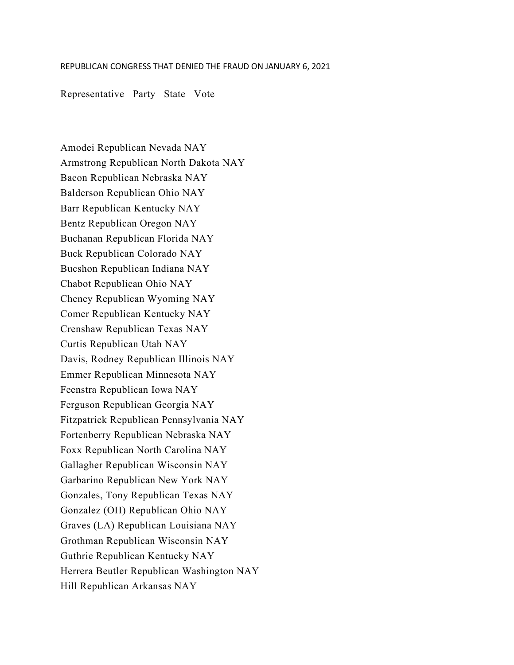## Representative Party State Vote

Amodei Republican Nevada NAY Armstrong Republican North Dakota NAY Bacon Republican Nebraska NAY Balderson Republican Ohio NAY Barr Republican Kentucky NAY Bentz Republican Oregon NAY Buchanan Republican Florida NAY Buck Republican Colorado NAY Bucshon Republican Indiana NAY Chabot Republican Ohio NAY Cheney Republican Wyoming NAY Comer Republican Kentucky NAY Crenshaw Republican Texas NAY Curtis Republican Utah NAY Davis, Rodney Republican Illinois NAY Emmer Republican Minnesota NAY Feenstra Republican Iowa NAY Ferguson Republican Georgia NAY Fitzpatrick Republican Pennsylvania NAY Fortenberry Republican Nebraska NAY Foxx Republican North Carolina NAY Gallagher Republican Wisconsin NAY Garbarino Republican New York NAY Gonzales, Tony Republican Texas NAY Gonzalez (OH) Republican Ohio NAY Graves (LA) Republican Louisiana NAY Grothman Republican Wisconsin NAY Guthrie Republican Kentucky NAY Herrera Beutler Republican Washington NAY Hill Republican Arkansas NAY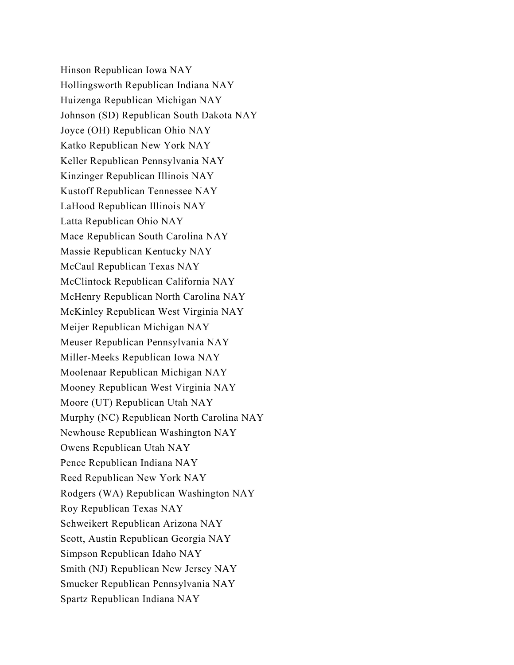Hinson Republican Iowa NAY Hollingsworth Republican Indiana NAY Huizenga Republican Michigan NAY Johnson (SD) Republican South Dakota NAY Joyce (OH) Republican Ohio NAY Katko Republican New York NAY Keller Republican Pennsylvania NAY Kinzinger Republican Illinois NAY Kustoff Republican Tennessee NAY LaHood Republican Illinois NAY Latta Republican Ohio NAY Mace Republican South Carolina NAY Massie Republican Kentucky NAY McCaul Republican Texas NAY McClintock Republican California NAY McHenry Republican North Carolina NAY McKinley Republican West Virginia NAY Meijer Republican Michigan NAY Meuser Republican Pennsylvania NAY Miller-Meeks Republican Iowa NAY Moolenaar Republican Michigan NAY Mooney Republican West Virginia NAY Moore (UT) Republican Utah NAY Murphy (NC) Republican North Carolina NAY Newhouse Republican Washington NAY Owens Republican Utah NAY Pence Republican Indiana NAY Reed Republican New York NAY Rodgers (WA) Republican Washington NAY Roy Republican Texas NAY Schweikert Republican Arizona NAY Scott, Austin Republican Georgia NAY Simpson Republican Idaho NAY Smith (NJ) Republican New Jersey NAY Smucker Republican Pennsylvania NAY Spartz Republican Indiana NAY